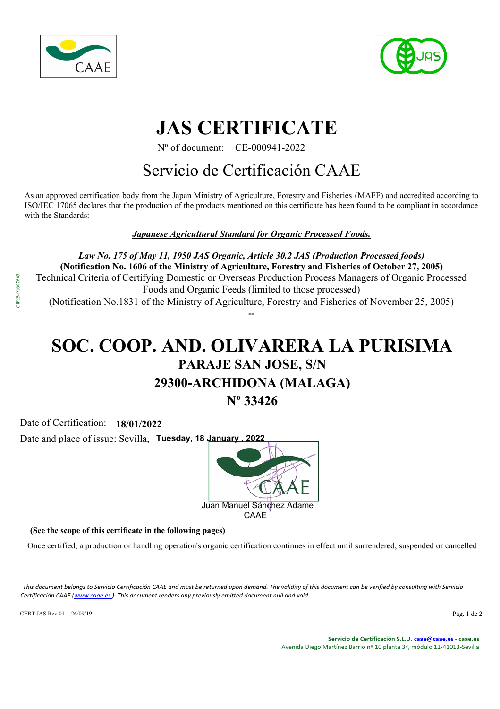



# **JAS CERTIFICATE**

Nº of document: CE-000941-2022

### Servicio de Certificación CAAE

As an approved certification body from the Japan Ministry of Agriculture, Forestry and Fisheries (MAFF) and accredited according to ISO/IEC 17065 declares that the production of the products mentioned on this certificate has been found to be compliant in accordance with the Standards:

*Japanese Agricultural Standard for Organic Processed Foods.*

*Law No. 175 of May 11, 1950 JAS Organic, Article 30.2 JAS (Production Processed foods)*  **(Notification No. 1606 of the Ministry of Agriculture, Forestry and Fisheries of October 27, 2005)** Technical Criteria of Certifying Domestic or Overseas Production Process Managers of Organic Processed Foods and Organic Feeds (limited to those processed) (Notification No.1831 of the Ministry of Agriculture, Forestry and Fisheries of November 25, 2005) **--**

# **SOC. COOP. AND. OLIVARERA LA PURISIMA**

## **PARAJE SAN JOSE, S/N**

#### **29300-ARCHIDONA (MALAGA)**

**Nº 33426**

Date of Certification: **18/01/2022**

Date and place of issue: Sevilla, Tuesday, 18 January, 2022



**(See the scope of this certificate in the following pages)**

Once certified, a production or handling operation's organic certification continues in effect until surrendered, suspended or cancelled

*This document belongs to Servicio Certificación CAAE and must be returned upon demand. The validity of this document can be verified by consulting with Servicio Certificación CAAE (www.caae.es ). This document renders any previously emitted document null and void*

CERT JAS Rev 01 - 26/09/19 Pág. 1 de 2

**Servicio de Certificación S.L.U. caae@caae.es - caae.es** Avenida Diego Martínez Barrio nº 10 planta 3ª, módulo 12-41013-Sevilla